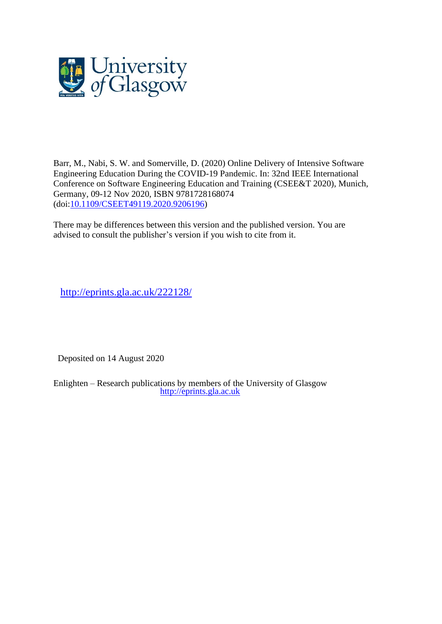

Barr, M., Nabi, S. W. and Somerville, D. (2020) Online Delivery of Intensive Software Engineering Education During the COVID-19 Pandemic. In: 32nd IEEE International Conference on Software Engineering Education and Training (CSEE&T 2020), Munich, Germany, 09-12 Nov 2020, ISBN 9781728168074 (doi[:10.1109/CSEET49119.2020.9206196\)](http://dx.doi.org/10.1109/CSEET49119.2020.9206196)

There may be differences between this version and the published version. You are advised to consult the publisher's version if you wish to cite from it.

<http://eprints.gla.ac.uk/222128/>

Deposited on 14 August 2020

Enlighten – Research publications by members of the University of Glasgow [http://eprints.gla.ac.uk](http://eprints.gla.ac.uk/)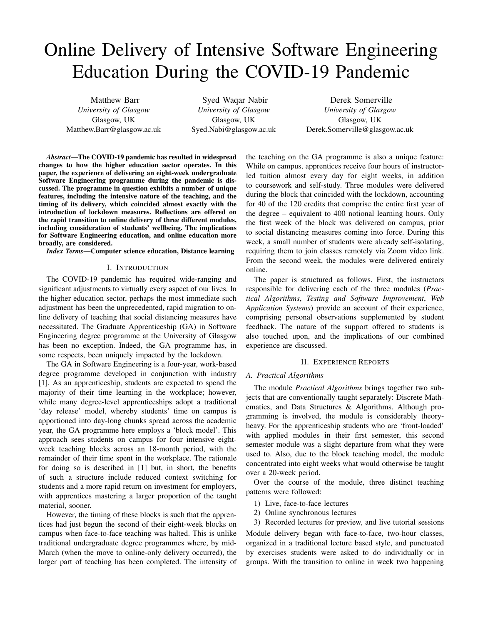# Online Delivery of Intensive Software Engineering Education During the COVID-19 Pandemic

Matthew Barr *University of Glasgow* Glasgow, UK Matthew.Barr@glasgow.ac.uk

Syed Waqar Nabir *University of Glasgow* Glasgow, UK Syed.Nabi@glasgow.ac.uk

Derek Somerville *University of Glasgow* Glasgow, UK Derek.Somerville@glasgow.ac.uk

*Abstract*—The COVID-19 pandemic has resulted in widespread changes to how the higher education sector operates. In this paper, the experience of delivering an eight-week undergraduate Software Engineering programme during the pandemic is discussed. The programme in question exhibits a number of unique features, including the intensive nature of the teaching, and the timing of its delivery, which coincided almost exactly with the introduction of lockdown measures. Reflections are offered on the rapid transition to online delivery of three different modules, including consideration of students' wellbeing. The implications for Software Engineering education, and online education more broadly, are considered.

*Index Terms*—Computer science education, Distance learning

#### I. INTRODUCTION

The COVID-19 pandemic has required wide-ranging and significant adjustments to virtually every aspect of our lives. In the higher education sector, perhaps the most immediate such adjustment has been the unprecedented, rapid migration to online delivery of teaching that social distancing measures have necessitated. The Graduate Apprenticeship (GA) in Software Engineering degree programme at the University of Glasgow has been no exception. Indeed, the GA programme has, in some respects, been uniquely impacted by the lockdown.

The GA in Software Engineering is a four-year, work-based degree programme developed in conjunction with industry [1]. As an apprenticeship, students are expected to spend the majority of their time learning in the workplace; however, while many degree-level apprenticeships adopt a traditional 'day release' model, whereby students' time on campus is apportioned into day-long chunks spread across the academic year, the GA programme here employs a 'block model'. This approach sees students on campus for four intensive eightweek teaching blocks across an 18-month period, with the remainder of their time spent in the workplace. The rationale for doing so is described in [1] but, in short, the benefits of such a structure include reduced context switching for students and a more rapid return on investment for employers, with apprentices mastering a larger proportion of the taught material, sooner.

However, the timing of these blocks is such that the apprentices had just begun the second of their eight-week blocks on campus when face-to-face teaching was halted. This is unlike traditional undergraduate degree programmes where, by mid-March (when the move to online-only delivery occurred), the larger part of teaching has been completed. The intensity of the teaching on the GA programme is also a unique feature: While on campus, apprentices receive four hours of instructorled tuition almost every day for eight weeks, in addition to coursework and self-study. Three modules were delivered during the block that coincided with the lockdown, accounting for 40 of the 120 credits that comprise the entire first year of the degree – equivalent to 400 notional learning hours. Only the first week of the block was delivered on campus, prior to social distancing measures coming into force. During this week, a small number of students were already self-isolating, requiring them to join classes remotely via Zoom video link. From the second week, the modules were delivered entirely online.

The paper is structured as follows. First, the instructors responsible for delivering each of the three modules (*Practical Algorithms*, *Testing and Software Improvement*, *Web Application Systems*) provide an account of their experience, comprising personal observations supplemented by student feedback. The nature of the support offered to students is also touched upon, and the implications of our combined experience are discussed.

#### II. EXPERIENCE REPORTS

## *A. Practical Algorithms*

The module *Practical Algorithms* brings together two subjects that are conventionally taught separately: Discrete Mathematics, and Data Structures & Algorithms. Although programming is involved, the module is considerably theoryheavy. For the apprenticeship students who are 'front-loaded' with applied modules in their first semester, this second semester module was a slight departure from what they were used to. Also, due to the block teaching model, the module concentrated into eight weeks what would otherwise be taught over a 20-week period.

Over the course of the module, three distinct teaching patterns were followed:

- 1) Live, face-to-face lectures
- 2) Online synchronous lectures

3) Recorded lectures for preview, and live tutorial sessions Module delivery began with face-to-face, two-hour classes, organized in a traditional lecture based style, and punctuated by exercises students were asked to do individually or in groups. With the transition to online in week two happening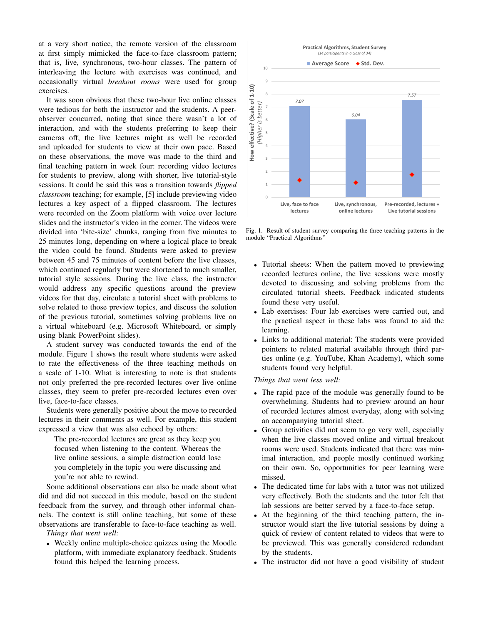at a very short notice, the remote version of the classroom at first simply mimicked the face-to-face classroom pattern; that is, live, synchronous, two-hour classes. The pattern of interleaving the lecture with exercises was continued, and occasionally virtual *breakout rooms* were used for group exercises.

It was soon obvious that these two-hour live online classes were tedious for both the instructor and the students. A peerobserver concurred, noting that since there wasn't a lot of interaction, and with the students preferring to keep their cameras off, the live lectures might as well be recorded and uploaded for students to view at their own pace. Based on these observations, the move was made to the third and final teaching pattern in week four: recording video lectures for students to preview, along with shorter, live tutorial-style sessions. It could be said this was a transition towards *flipped classroom* teaching; for example, [5] include previewing video lectures a key aspect of a flipped classroom. The lectures were recorded on the Zoom platform with voice over lecture slides and the instructor's video in the corner. The videos were divided into 'bite-size' chunks, ranging from five minutes to 25 minutes long, depending on where a logical place to break the video could be found. Students were asked to preview between 45 and 75 minutes of content before the live classes, which continued regularly but were shortened to much smaller, tutorial style sessions. During the live class, the instructor would address any specific questions around the preview videos for that day, circulate a tutorial sheet with problems to solve related to those preview topics, and discuss the solution of the previous tutorial, sometimes solving problems live on a virtual whiteboard (e.g. Microsoft Whiteboard, or simply using blank PowerPoint slides).

A student survey was conducted towards the end of the module. Figure 1 shows the result where students were asked to rate the effectiveness of the three teaching methods on a scale of 1-10. What is interesting to note is that students not only preferred the pre-recorded lectures over live online classes, they seem to prefer pre-recorded lectures even over live, face-to-face classes.

Students were generally positive about the move to recorded lectures in their comments as well. For example, this student expressed a view that was also echoed by others:

The pre-recorded lectures are great as they keep you focused when listening to the content. Whereas the live online sessions, a simple distraction could lose you completely in the topic you were discussing and you're not able to rewind.

Some additional observations can also be made about what did and did not succeed in this module, based on the student feedback from the survey, and through other informal channels. The context is still online teaching, but some of these observations are transferable to face-to-face teaching as well. *Things that went well:*

• Weekly online multiple-choice quizzes using the Moodle platform, with immediate explanatory feedback. Students found this helped the learning process.



Fig. 1. Result of student survey comparing the three teaching patterns in the module "Practical Algorithms"

- Tutorial sheets: When the pattern moved to previewing recorded lectures online, the live sessions were mostly devoted to discussing and solving problems from the circulated tutorial sheets. Feedback indicated students found these very useful.
- Lab exercises: Four lab exercises were carried out, and the practical aspect in these labs was found to aid the learning.
- Links to additional material: The students were provided pointers to related material available through third parties online (e.g. YouTube, Khan Academy), which some students found very helpful.

*Things that went less well:*

- The rapid pace of the module was generally found to be overwhelming. Students had to preview around an hour of recorded lectures almost everyday, along with solving an accompanying tutorial sheet.
- Group activities did not seem to go very well, especially when the live classes moved online and virtual breakout rooms were used. Students indicated that there was minimal interaction, and people mostly continued working on their own. So, opportunities for peer learning were missed.
- The dedicated time for labs with a tutor was not utilized very effectively. Both the students and the tutor felt that lab sessions are better served by a face-to-face setup.
- At the beginning of the third teaching pattern, the instructor would start the live tutorial sessions by doing a quick of review of content related to videos that were to be previewed. This was generally considered redundant by the students.
- The instructor did not have a good visibility of student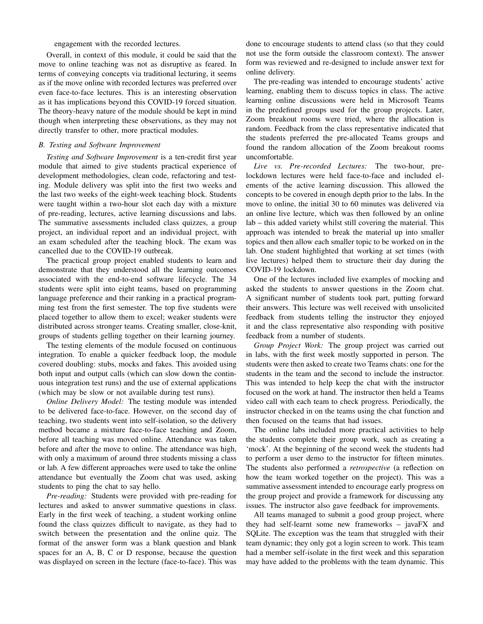engagement with the recorded lectures.

Overall, in context of this module, it could be said that the move to online teaching was not as disruptive as feared. In terms of conveying concepts via traditional lecturing, it seems as if the move online with recorded lectures was preferred over even face-to-face lectures. This is an interesting observation as it has implications beyond this COVID-19 forced situation. The theory-heavy nature of the module should be kept in mind though when interpreting these observations, as they may not directly transfer to other, more practical modules.

#### *B. Testing and Software Improvement*

*Testing and Software Improvement* is a ten-credit first year module that aimed to give students practical experience of development methodologies, clean code, refactoring and testing. Module delivery was split into the first two weeks and the last two weeks of the eight-week teaching block. Students were taught within a two-hour slot each day with a mixture of pre-reading, lectures, active learning discussions and labs. The summative assessments included class quizzes, a group project, an individual report and an individual project, with an exam scheduled after the teaching block. The exam was cancelled due to the COVID-19 outbreak.

The practical group project enabled students to learn and demonstrate that they understood all the learning outcomes associated with the end-to-end software lifecycle. The 34 students were split into eight teams, based on programming language preference and their ranking in a practical programming test from the first semester. The top five students were placed together to allow them to excel; weaker students were distributed across stronger teams. Creating smaller, close-knit, groups of students gelling together on their learning journey.

The testing elements of the module focused on continuous integration. To enable a quicker feedback loop, the module covered doubling: stubs, mocks and fakes. This avoided using both input and output calls (which can slow down the continuous integration test runs) and the use of external applications (which may be slow or not available during test runs).

*Online Delivery Model:* The testing module was intended to be delivered face-to-face. However, on the second day of teaching, two students went into self-isolation, so the delivery method became a mixture face-to-face teaching and Zoom, before all teaching was moved online. Attendance was taken before and after the move to online. The attendance was high, with only a maximum of around three students missing a class or lab. A few different approaches were used to take the online attendance but eventually the Zoom chat was used, asking students to ping the chat to say hello.

*Pre-reading:* Students were provided with pre-reading for lectures and asked to answer summative questions in class. Early in the first week of teaching, a student working online found the class quizzes difficult to navigate, as they had to switch between the presentation and the online quiz. The format of the answer form was a blank question and blank spaces for an A, B, C or D response, because the question was displayed on screen in the lecture (face-to-face). This was

done to encourage students to attend class (so that they could not use the form outside the classroom context). The answer form was reviewed and re-designed to include answer text for online delivery.

The pre-reading was intended to encourage students' active learning, enabling them to discuss topics in class. The active learning online discussions were held in Microsoft Teams in the predefined groups used for the group projects. Later, Zoom breakout rooms were tried, where the allocation is random. Feedback from the class representative indicated that the students preferred the pre-allocated Teams groups and found the random allocation of the Zoom breakout rooms uncomfortable.

*Live vs. Pre-recorded Lectures:* The two-hour, prelockdown lectures were held face-to-face and included elements of the active learning discussion. This allowed the concepts to be covered in enough depth prior to the labs. In the move to online, the initial 30 to 60 minutes was delivered via an online live lecture, which was then followed by an online lab – this added variety whilst still covering the material. This approach was intended to break the material up into smaller topics and then allow each smaller topic to be worked on in the lab. One student highlighted that working at set times (with live lectures) helped them to structure their day during the COVID-19 lockdown.

One of the lectures included live examples of mocking and asked the students to answer questions in the Zoom chat. A significant number of students took part, putting forward their answers. This lecture was well received with unsolicited feedback from students telling the instructor they enjoyed it and the class representative also responding with positive feedback from a number of students.

*Group Project Work:* The group project was carried out in labs, with the first week mostly supported in person. The students were then asked to create two Teams chats: one for the students in the team and the second to include the instructor. This was intended to help keep the chat with the instructor focused on the work at hand. The instructor then held a Teams video call with each team to check progress. Periodically, the instructor checked in on the teams using the chat function and then focused on the teams that had issues.

The online labs included more practical activities to help the students complete their group work, such as creating a 'mock'. At the beginning of the second week the students had to perform a user demo to the instructor for fifteen minutes. The students also performed a *retrospective* (a reflection on how the team worked together on the project). This was a summative assessment intended to encourage early progress on the group project and provide a framework for discussing any issues. The instructor also gave feedback for improvements.

All teams managed to submit a good group project, where they had self-learnt some new frameworks – javaFX and SQLite. The exception was the team that struggled with their team dynamic; they only got a login screen to work. This team had a member self-isolate in the first week and this separation may have added to the problems with the team dynamic. This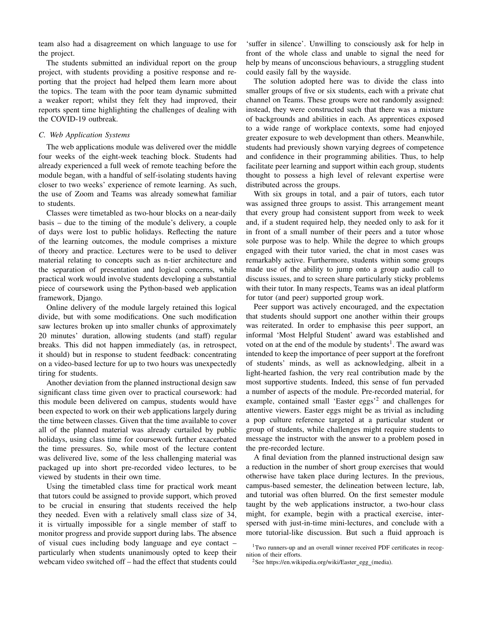team also had a disagreement on which language to use for the project.

The students submitted an individual report on the group project, with students providing a positive response and reporting that the project had helped them learn more about the topics. The team with the poor team dynamic submitted a weaker report; whilst they felt they had improved, their reports spent time highlighting the challenges of dealing with the COVID-19 outbreak.

#### *C. Web Application Systems*

The web applications module was delivered over the middle four weeks of the eight-week teaching block. Students had already experienced a full week of remote teaching before the module began, with a handful of self-isolating students having closer to two weeks' experience of remote learning. As such, the use of Zoom and Teams was already somewhat familiar to students.

Classes were timetabled as two-hour blocks on a near-daily basis – due to the timing of the module's delivery, a couple of days were lost to public holidays. Reflecting the nature of the learning outcomes, the module comprises a mixture of theory and practice. Lectures were to be used to deliver material relating to concepts such as n-tier architecture and the separation of presentation and logical concerns, while practical work would involve students developing a substantial piece of coursework using the Python-based web application framework, Django.

Online delivery of the module largely retained this logical divide, but with some modifications. One such modification saw lectures broken up into smaller chunks of approximately 20 minutes' duration, allowing students (and staff) regular breaks. This did not happen immediately (as, in retrospect, it should) but in response to student feedback: concentrating on a video-based lecture for up to two hours was unexpectedly tiring for students.

Another deviation from the planned instructional design saw significant class time given over to practical coursework: had this module been delivered on campus, students would have been expected to work on their web applications largely during the time between classes. Given that the time available to cover all of the planned material was already curtailed by public holidays, using class time for coursework further exacerbated the time pressures. So, while most of the lecture content was delivered live, some of the less challenging material was packaged up into short pre-recorded video lectures, to be viewed by students in their own time.

Using the timetabled class time for practical work meant that tutors could be assigned to provide support, which proved to be crucial in ensuring that students received the help they needed. Even with a relatively small class size of 34, it is virtually impossible for a single member of staff to monitor progress and provide support during labs. The absence of visual cues including body language and eye contact – particularly when students unanimously opted to keep their webcam video switched off – had the effect that students could

'suffer in silence'. Unwilling to consciously ask for help in front of the whole class and unable to signal the need for help by means of unconscious behaviours, a struggling student could easily fall by the wayside.

The solution adopted here was to divide the class into smaller groups of five or six students, each with a private chat channel on Teams. These groups were not randomly assigned: instead, they were constructed such that there was a mixture of backgrounds and abilities in each. As apprentices exposed to a wide range of workplace contexts, some had enjoyed greater exposure to web development than others. Meanwhile, students had previously shown varying degrees of competence and confidence in their programming abilities. Thus, to help facilitate peer learning and support within each group, students thought to possess a high level of relevant expertise were distributed across the groups.

With six groups in total, and a pair of tutors, each tutor was assigned three groups to assist. This arrangement meant that every group had consistent support from week to week and, if a student required help, they needed only to ask for it in front of a small number of their peers and a tutor whose sole purpose was to help. While the degree to which groups engaged with their tutor varied, the chat in most cases was remarkably active. Furthermore, students within some groups made use of the ability to jump onto a group audio call to discuss issues, and to screen share particularly sticky problems with their tutor. In many respects, Teams was an ideal platform for tutor (and peer) supported group work.

Peer support was actively encouraged, and the expectation that students should support one another within their groups was reiterated. In order to emphasise this peer support, an informal 'Most Helpful Student' award was established and voted on at the end of the module by students<sup>1</sup>. The award was intended to keep the importance of peer support at the forefront of students' minds, as well as acknowledging, albeit in a light-hearted fashion, the very real contribution made by the most supportive students. Indeed, this sense of fun pervaded a number of aspects of the module. Pre-recorded material, for example, contained small 'Easter eggs'<sup>2</sup> and challenges for attentive viewers. Easter eggs might be as trivial as including a pop culture reference targeted at a particular student or group of students, while challenges might require students to message the instructor with the answer to a problem posed in the pre-recorded lecture.

A final deviation from the planned instructional design saw a reduction in the number of short group exercises that would otherwise have taken place during lectures. In the previous, campus-based semester, the delineation between lecture, lab, and tutorial was often blurred. On the first semester module taught by the web applications instructor, a two-hour class might, for example, begin with a practical exercise, interspersed with just-in-time mini-lectures, and conclude with a more tutorial-like discussion. But such a fluid approach is

<sup>&</sup>lt;sup>1</sup>Two runners-up and an overall winner received PDF certificates in recognition of their efforts.

 $2$ See https://en.wikipedia.org/wiki/Easter\_egg\_(media).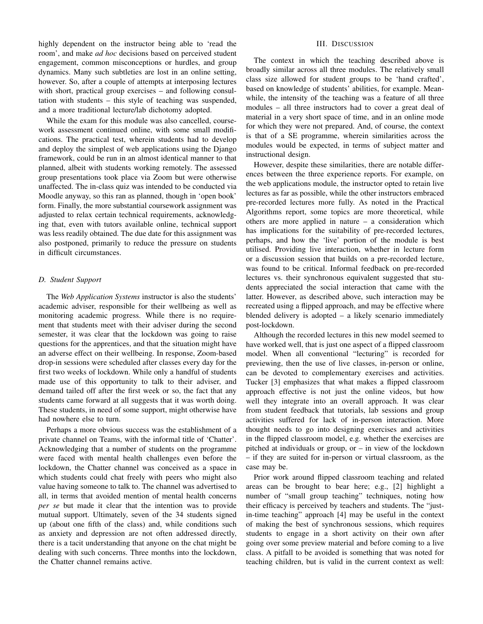highly dependent on the instructor being able to 'read the room', and make *ad hoc* decisions based on perceived student engagement, common misconceptions or hurdles, and group dynamics. Many such subtleties are lost in an online setting, however. So, after a couple of attempts at interposing lectures with short, practical group exercises – and following consultation with students – this style of teaching was suspended, and a more traditional lecture/lab dichotomy adopted.

While the exam for this module was also cancelled, coursework assessment continued online, with some small modifications. The practical test, wherein students had to develop and deploy the simplest of web applications using the Django framework, could be run in an almost identical manner to that planned, albeit with students working remotely. The assessed group presentations took place via Zoom but were otherwise unaffected. The in-class quiz was intended to be conducted via Moodle anyway, so this ran as planned, though in 'open book' form. Finally, the more substantial coursework assignment was adjusted to relax certain technical requirements, acknowledging that, even with tutors available online, technical support was less readily obtained. The due date for this assignment was also postponed, primarily to reduce the pressure on students in difficult circumstances.

#### *D. Student Support*

The *Web Application Systems* instructor is also the students' academic adviser, responsible for their wellbeing as well as monitoring academic progress. While there is no requirement that students meet with their adviser during the second semester, it was clear that the lockdown was going to raise questions for the apprentices, and that the situation might have an adverse effect on their wellbeing. In response, Zoom-based drop-in sessions were scheduled after classes every day for the first two weeks of lockdown. While only a handful of students made use of this opportunity to talk to their adviser, and demand tailed off after the first week or so, the fact that any students came forward at all suggests that it was worth doing. These students, in need of some support, might otherwise have had nowhere else to turn.

Perhaps a more obvious success was the establishment of a private channel on Teams, with the informal title of 'Chatter'. Acknowledging that a number of students on the programme were faced with mental health challenges even before the lockdown, the Chatter channel was conceived as a space in which students could chat freely with peers who might also value having someone to talk to. The channel was advertised to all, in terms that avoided mention of mental health concerns *per se* but made it clear that the intention was to provide mutual support. Ultimately, seven of the 34 students signed up (about one fifth of the class) and, while conditions such as anxiety and depression are not often addressed directly, there is a tacit understanding that anyone on the chat might be dealing with such concerns. Three months into the lockdown, the Chatter channel remains active.

## III. DISCUSSION

The context in which the teaching described above is broadly similar across all three modules. The relatively small class size allowed for student groups to be 'hand crafted', based on knowledge of students' abilities, for example. Meanwhile, the intensity of the teaching was a feature of all three modules – all three instructors had to cover a great deal of material in a very short space of time, and in an online mode for which they were not prepared. And, of course, the context is that of a SE programme, wherein similarities across the modules would be expected, in terms of subject matter and instructional design.

However, despite these similarities, there are notable differences between the three experience reports. For example, on the web applications module, the instructor opted to retain live lectures as far as possible, while the other instructors embraced pre-recorded lectures more fully. As noted in the Practical Algorithms report, some topics are more theoretical, while others are more applied in nature – a consideration which has implications for the suitability of pre-recorded lectures, perhaps, and how the 'live' portion of the module is best utilised. Providing live interaction, whether in lecture form or a discussion session that builds on a pre-recorded lecture, was found to be critical. Informal feedback on pre-recorded lectures vs. their synchronous equivalent suggested that students appreciated the social interaction that came with the latter. However, as described above, such interaction may be recreated using a flipped approach, and may be effective where blended delivery is adopted – a likely scenario immediately post-lockdown.

Although the recorded lectures in this new model seemed to have worked well, that is just one aspect of a flipped classroom model. When all conventional "lecturing" is recorded for previewing, then the use of live classes, in-person or online, can be devoted to complementary exercises and activities. Tucker [3] emphasizes that what makes a flipped classroom approach effective is not just the online videos, but how well they integrate into an overall approach. It was clear from student feedback that tutorials, lab sessions and group activities suffered for lack of in-person interaction. More thought needs to go into designing exercises and activities in the flipped classroom model, e.g. whether the exercises are pitched at individuals or group, or – in view of the lockdown – if they are suited for in-person or virtual classroom, as the case may be.

Prior work around flipped classroom teaching and related areas can be brought to bear here; e.g., [2] highlight a number of "small group teaching" techniques, noting how their efficacy is perceived by teachers and students. The "justin-time teaching" approach [4] may be useful in the context of making the best of synchronous sessions, which requires students to engage in a short activity on their own after going over some preview material and before coming to a live class. A pitfall to be avoided is something that was noted for teaching children, but is valid in the current context as well: